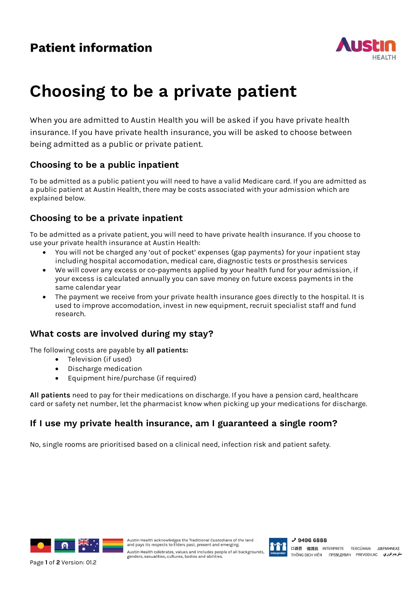

# **Choosing to be a private patient**

When you are admitted to Austin Health you will be asked if you have private health insurance. If you have private health insurance, you will be asked to choose between being admitted as a public or private patient.

# **Choosing to be a public inpatient**

To be admitted as a public patient you will need to have a valid Medicare card. If you are admitted as a public patient at Austin Health, there may be costs associated with your admission which are explained below.

# **Choosing to be a private inpatient**

To be admitted as a private patient, you will need to have private health insurance. If you choose to use your private health insurance at Austin Health:

- You will not be charged any 'out of pocket' expenses (gap payments) for your inpatient stay including hospital accomodation, medical care, diagnostic tests or prosthesis services
- We will cover any excess or co-payments applied by your health fund for your admission, if your excess is calculated annually you can save money on future excess payments in the same calendar year
- The payment we receive from your private health insurance goes directly to the hospital. It is used to improve accomodation, invest in new equipment, recruit specialist staff and fund research.

## **What costs are involved during my stay?**

The following costs are payable by **all patients:**

- Television (if used)
- Discharge medication
- Equipment hire/purchase (if required)

**All patients** need to pay for their medications on discharge. If you have a pension card, healthcare card or safety net number, let the pharmacist know when picking up your medications for discharge.

## **If I use my private health insurance, am I guaranteed a single room?**

No, single rooms are prioritised based on a clinical need, infection risk and patient safety.